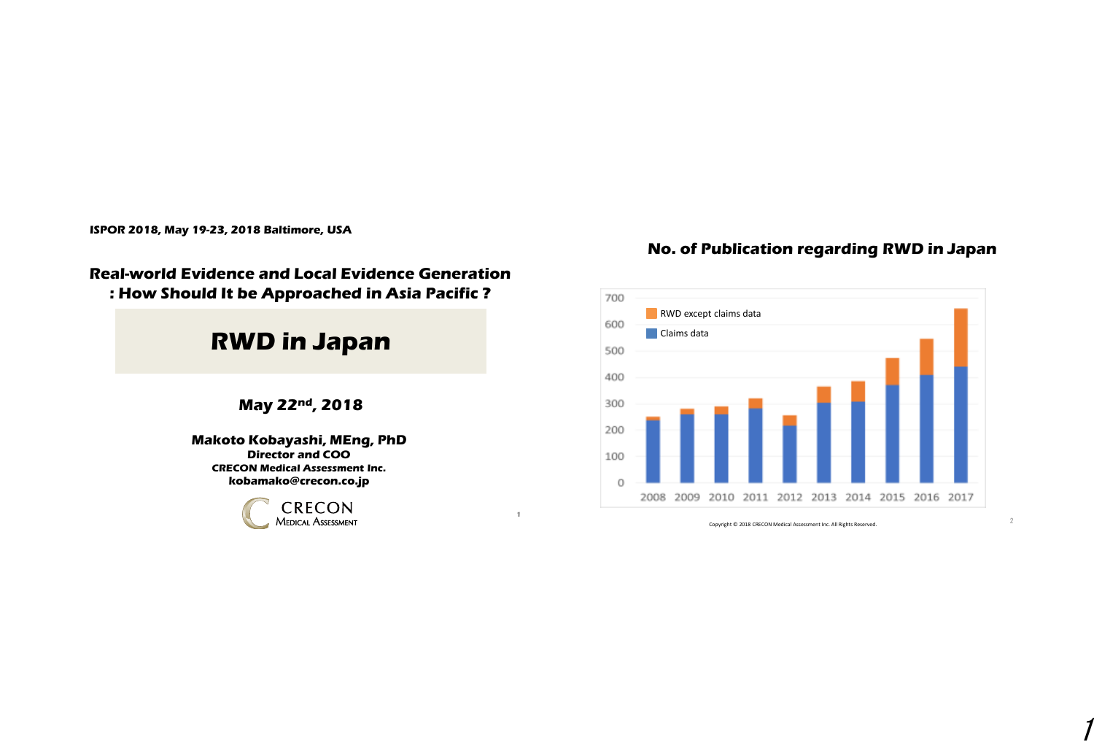**ISPOR 2018, May 19-23, 2018 Baltimore, USA**

#### **Real-world Evidence and Local Evidence Generation : How Should It be Approached in Asia Pacific ?**

# **RWD in Japan**

**May 22nd, 2018**

**Makoto Kobayashi, MEng, PhD Director and COO CRECON Medical Assessment Inc. kobamako@crecon.co.jp**



**1**

### **No. of Publication regarding RWD in Japan**

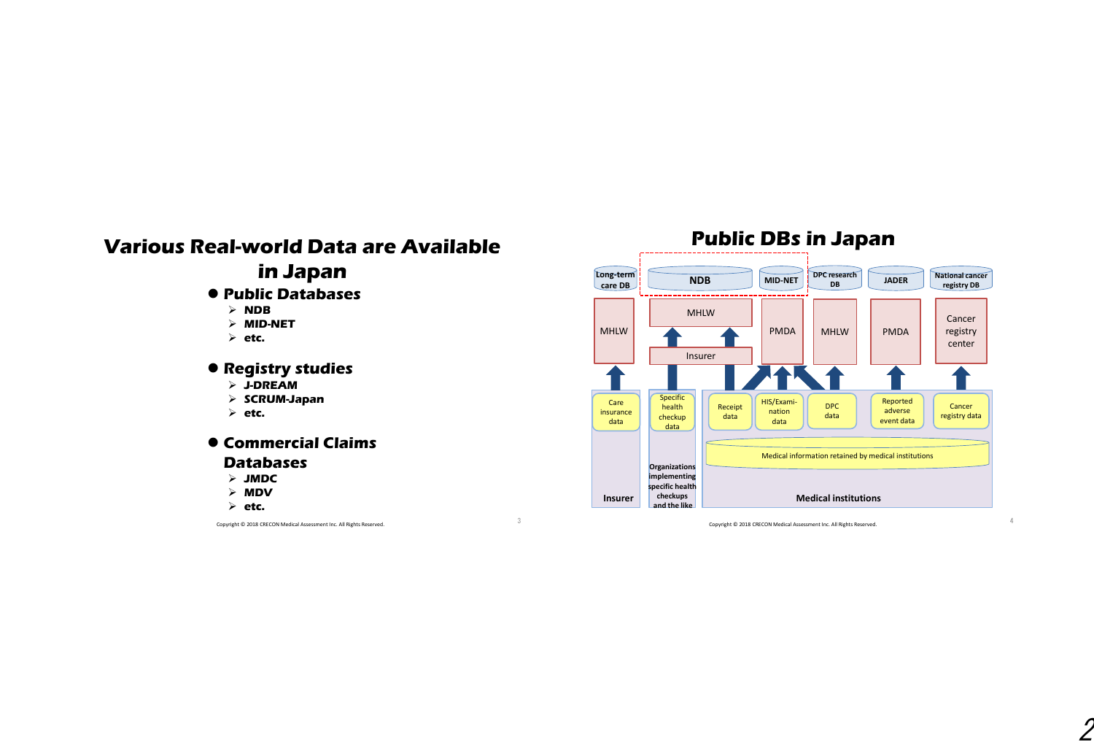# **Various Real-world Data are Available in Japan**

#### **Public Databases**

- **NDB**
- **MID-NET**
- **etc.**

#### **Registry studies**

- **J-DREAM**
- **SCRUM-Japan**
- **etc.**

#### **Commercial Claims Databases**

- **JMDC**
- **MDV**
- **etc.**

Copyright © 2018 CRECON Medical Assessment Inc. All Rights Reserved. <sup>3</sup>

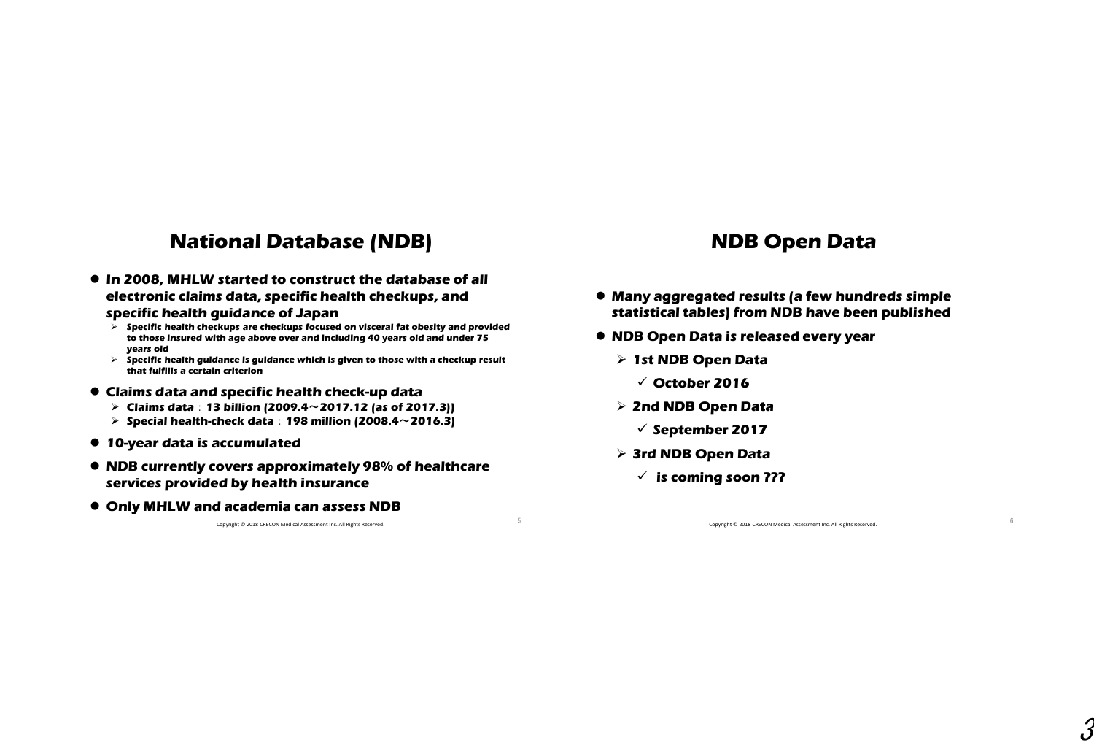## **National Database (NDB)**

 **In 2008, MHLW started to construct the database of all electronic claims data, specific health checkups, and** 

#### **specific health guidance of Japan**

- **Specific health checkups are checkups focused on visceral fat obesity and provided to those insured with age above over and including 40 years old and under 75 years old**
- **Specific health guidance is guidance which is given to those with a checkup result that fulfills a certain criterion**
- **Claims data and specific health check-up data**
	- **Claims data**:**13 billion (2009.4**~**2017.12 (as of 2017.3))**
	- **Special health-check data**:**198 million (2008.4**~**2016.3)**
- **10-year data is accumulated**
- **NDB currently covers approximately 98% of healthcare services provided by health insurance**
- **Only MHLW and academia can assess NDB**

Copyright © 2018 CRECON Medical Assessment Inc. All Rights Reserved. <sup>5</sup>

## **NDB Open Data**

- **Many aggregated results (a few hundreds simple statistical tables) from NDB have been published**
- **NDB Open Data is released every year**
	- **1st NDB Open Data**
		- **October 2016**
	- **2nd NDB Open Data**
		- **September 2017**
	- **3rd NDB Open Data**
		- **is coming soon ???**

Copyright © 2018 CRECON Medical Assessment Inc. All Rights Reserved. 6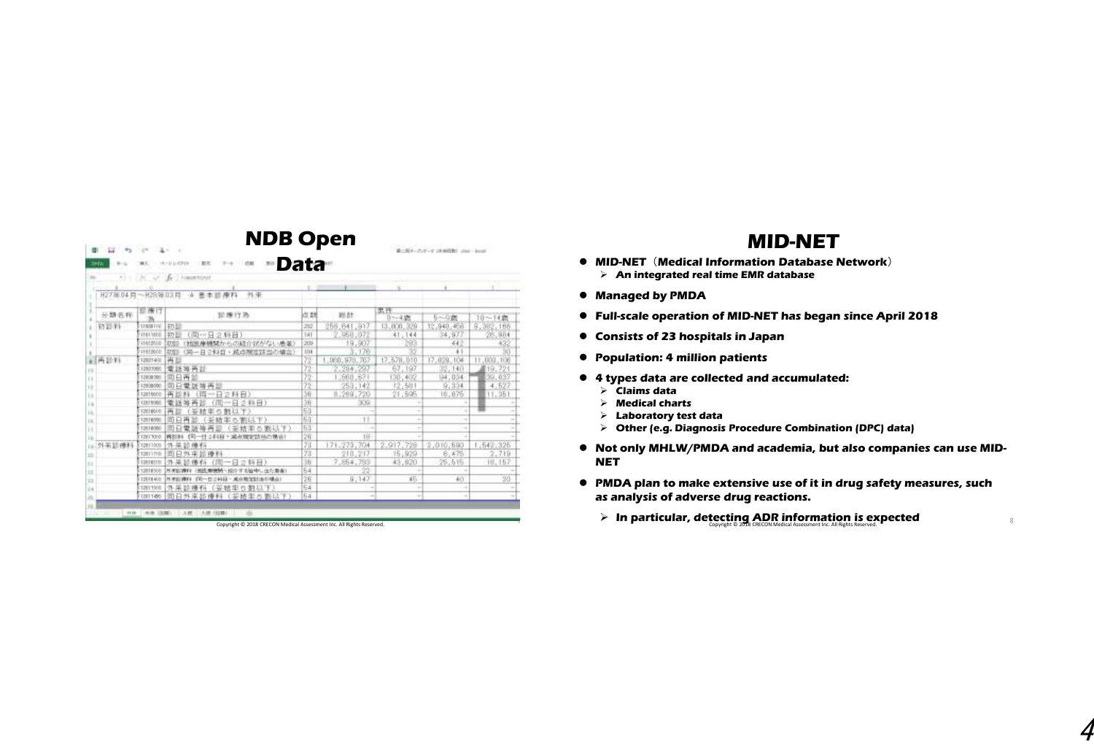| $+1$<br>×<br>Æ<br><b>Report Follows</b><br>$\sim$<br>外来<br>H27 单 04 月<br>化冷冻阻用 体<br>廣料<br>高本節<br>世唐け<br>認識行為<br>出却<br>分類名称<br>初設料<br>262<br>11008111<br>初距<br>(同中日2時目)<br>11811000<br>初距<br>C41<br>v.<br>11012010<br>(地画庫機関からの結介状がない患者)<br>209<br>初型<br>(局一日2科目・減点規定該当の場合)<br>11012010<br>1234<br>初度<br>37<br>再延期<br>再目<br>1202340<br>58<br>堂話等再話<br>12023000<br>95<br>司日再生<br>12008300<br>$\overline{22}$<br>同日常活等再显<br>12008050 | 総計<br>256 841.917<br>950,07<br>19,907<br>.176<br>,050,970,707<br>2.284<br>297 | 黒門<br>0:4期<br>13,000,329<br>41,144<br>XB<br>17:570.010 | 5~9篇<br>12,940,456<br>34,97<br>64<br>٠ |                                      |
|-----------------------------------------------------------------------------------------------------------------------------------------------------------------------------------------------------------------------------------------------------------------------------------------------------------------------------------------------------------------------------------------------------------------------------------|-------------------------------------------------------------------------------|--------------------------------------------------------|----------------------------------------|--------------------------------------|
|                                                                                                                                                                                                                                                                                                                                                                                                                                   |                                                                               |                                                        |                                        | $10 - 14$ (f)<br>9,392,166<br>26,904 |
|                                                                                                                                                                                                                                                                                                                                                                                                                                   |                                                                               |                                                        |                                        |                                      |
|                                                                                                                                                                                                                                                                                                                                                                                                                                   |                                                                               |                                                        |                                        |                                      |
|                                                                                                                                                                                                                                                                                                                                                                                                                                   |                                                                               |                                                        |                                        |                                      |
|                                                                                                                                                                                                                                                                                                                                                                                                                                   |                                                                               |                                                        |                                        |                                      |
|                                                                                                                                                                                                                                                                                                                                                                                                                                   |                                                                               |                                                        |                                        |                                      |
|                                                                                                                                                                                                                                                                                                                                                                                                                                   |                                                                               |                                                        |                                        |                                      |
|                                                                                                                                                                                                                                                                                                                                                                                                                                   |                                                                               |                                                        | 17.029.10A                             | 11,000,106                           |
|                                                                                                                                                                                                                                                                                                                                                                                                                                   |                                                                               | 67, 197                                                | 85,140                                 | 19,721                               |
|                                                                                                                                                                                                                                                                                                                                                                                                                                   | 660,671                                                                       | 130,402                                                | [14, 0.14]                             | 39.037                               |
|                                                                                                                                                                                                                                                                                                                                                                                                                                   | 253, 142                                                                      | 12,531                                                 | 9,334                                  | 4.527                                |
| 36<br>再該科<br>土西<br>spettoto.<br>一日2月日                                                                                                                                                                                                                                                                                                                                                                                             | 8,289,720                                                                     | 21,505                                                 | 10.675                                 | 11,351                               |
| 36<br>電話等<br>再<br>白图<br>一日28日)<br>12019000                                                                                                                                                                                                                                                                                                                                                                                        | 309                                                                           |                                                        |                                        |                                      |
| 53<br>再加<br>光结<br>12010010                                                                                                                                                                                                                                                                                                                                                                                                        |                                                                               |                                                        |                                        |                                      |
| 53<br>面白再<br>12010550<br>実る事はず)                                                                                                                                                                                                                                                                                                                                                                                                   | 11                                                                            |                                                        |                                        |                                      |
| E3<br>面白<br>西都以下)<br>1211000<br>쾇<br>(業績素                                                                                                                                                                                                                                                                                                                                                                                         |                                                                               |                                                        |                                        |                                      |
| 26<br>(司一日之和百十萬和增密訪局の場面)<br>12013010<br>再生注目                                                                                                                                                                                                                                                                                                                                                                                      | 18                                                                            |                                                        |                                        |                                      |
| 71<br>外基節療料<br>外果師確料<br>12011000                                                                                                                                                                                                                                                                                                                                                                                                  | 171,273,704                                                                   | 2,917,728                                              | 2,010,590                              | 1,542.325                            |
| 73<br>司只外来的瘦粉<br>32013708                                                                                                                                                                                                                                                                                                                                                                                                         | 210,217                                                                       | 15,979                                                 | 6,476                                  | 2.719                                |
| 36<br>一日21時日)<br>THERTY<br>(10)                                                                                                                                                                                                                                                                                                                                                                                                   | 7.854,783                                                                     | 43,620                                                 | 25.515                                 | 18, 157                              |
| 54<br>12010500<br>2本10年4月1日た業者)                                                                                                                                                                                                                                                                                                                                                                                                   | 22                                                                            |                                                        |                                        |                                      |
| 28<br>1201640<br>外更的微彩 (第一日立科目 - 属由地馆组织印编出)                                                                                                                                                                                                                                                                                                                                                                                       | 9.147                                                                         | 45.                                                    | 4(1)                                   |                                      |
| 54<br>外某診療科(妥结率6割以下<br>1201350<br>54                                                                                                                                                                                                                                                                                                                                                                                              | $\overline{\phantom{a}}$                                                      | ÷<br>$\overline{\phantom{a}}$<br>٠                     | ٠<br>$\sim$                            |                                      |

Copyright © 2018 CRECON Medical Assessment Inc. All Rights Reserved. <sup>7</sup>

### **MID-NET**

- **MID-NET**(**Medical Information Database Network**) **An integrated real time EMR database**
- **Managed by PMDA**
- **Full-scale operation of MID-NET has began since April 2018**
- **Consists of 23 hospitals in Japan**
- **Population: 4 million patients**
- **4 types data are collected and accumulated:**
	- **Claims data**
	- **Medical charts**
	- **Laboratory test data**
	- **Other (e.g. Diagnosis Procedure Combination (DPC) data)**
- **Not only MHLW/PMDA and academia, but also companies can use MID-NET**
- **PMDA plan to make extensive use of it in drug safety measures, such as analysis of adverse drug reactions.** 
	- $\triangleright$  In particular, detecting ADR information is expected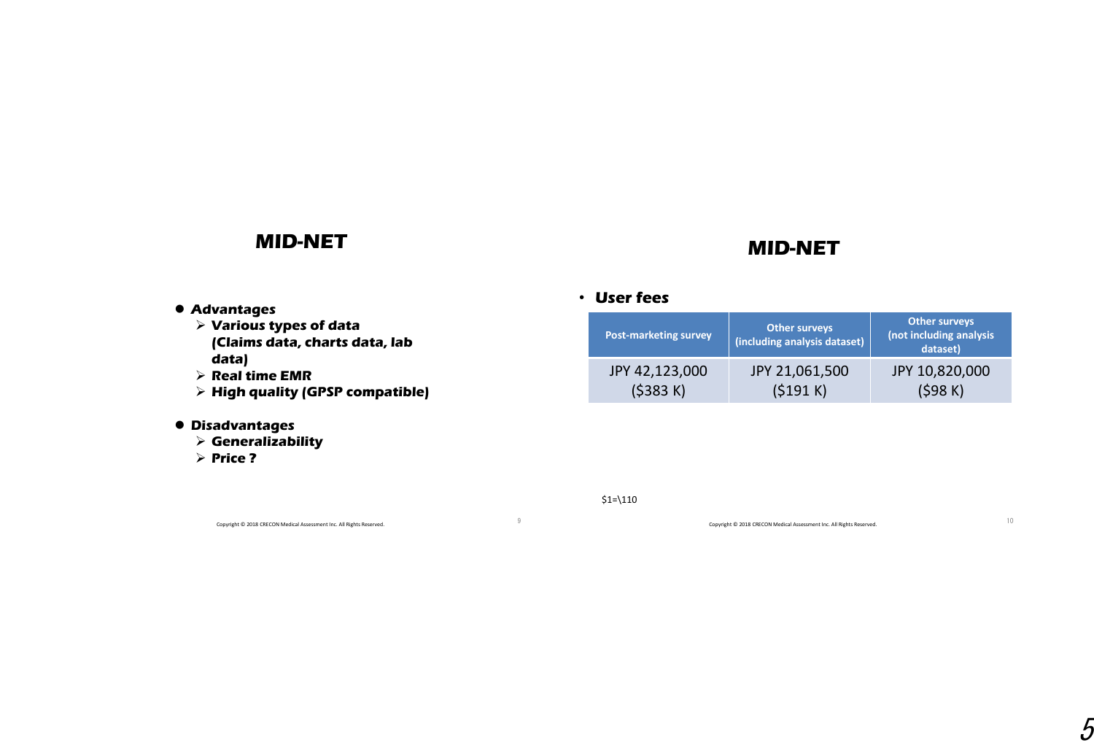## **MID-NET**

## **MID-NET**

- **Advantages**
	- **Various types of data (Claims data, charts data, lab data)**
	- **Real time EMR**
	- **High quality (GPSP compatible)**
- **Disadvantages**
	- **Generalizability**
	- **Price ?**

Copyright © 2018 CRECON Medical Assessment Inc. All Rights Reserved. <sup>9</sup>

### • **User fees**

| <b>Post-marketing survey</b> | <b>Other surveys</b><br>(including analysis dataset) | <b>Other surveys</b><br>(not including analysis<br>dataset) |
|------------------------------|------------------------------------------------------|-------------------------------------------------------------|
| JPY 42,123,000               | JPY 21,061,500                                       | JPY 10,820,000                                              |
| (5383 K)                     | (5191 K)                                             | (\$98 K)                                                    |

 $$1=110$ 

Copyright © 2018 CRECON Medical Assessment Inc. All Rights Reserved. 10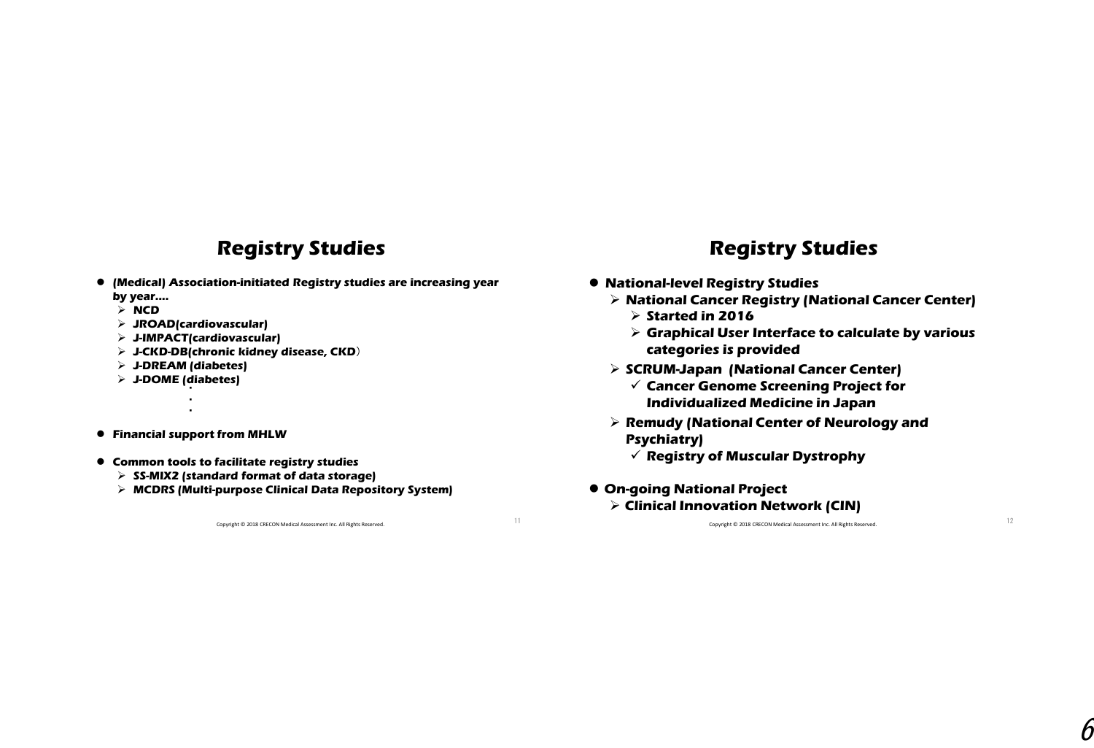## **Registry Studies**

- **(Medical) Association-initiated Registry studies are increasing year by year....**
	- **NCD**
	- **JROAD(cardiovascular)**
	- **J-IMPACT(cardiovascular)**
	- **J-CKD-DB(chronic kidney disease, CKD**)
	- **J-DREAM (diabetes)**
	- **J-DOME (diabetes)** ・
- **Financial support from MHLW**  $\cdot$

・

- **Common tools to facilitate registry studies**
	- **SS-MIX2 (standard format of data storage)**
	- **MCDRS (Multi-purpose Clinical Data Repository System)**

Copyright © 2018 CRECON Medical Assessment Inc. All Rights Reserved. 11

## **Registry Studies**

- **National-level Registry Studies**
	- **National Cancer Registry (National Cancer Center)**
		- **Started in 2016**
		- **Graphical User Interface to calculate by various categories is provided**
	- **SCRUM-Japan (National Cancer Center)**
		- **Cancer Genome Screening Project for Individualized Medicine in Japan**
	- **Remudy (National Center of Neurology and Psychiatry)**
		- **Registry of Muscular Dystrophy**
- **On-going National Project Clinical Innovation Network (CIN)**

Copyright © 2018 CRECON Medical Assessment Inc. All Rights Reserved. 12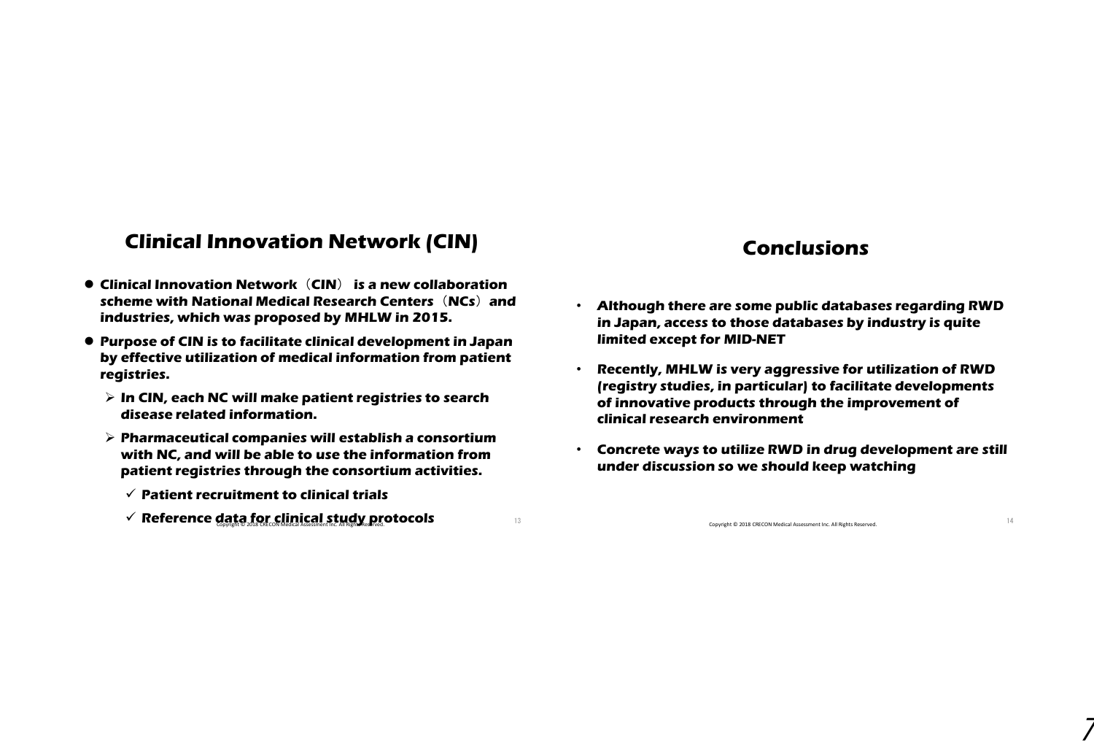## **Clinical Innovation Network (CIN)**

- **Clinical Innovation Network**(**CIN**) **is a new collaboration scheme with National Medical Research Centers**(**NCs**)**and industries, which was proposed by MHLW in 2015.**
- **Purpose of CIN is to facilitate clinical development in Japan by effective utilization of medical information from patient registries.** 
	- **In CIN, each NC will make patient registries to search disease related information.**
	- **Pharmaceutical companies will establish a consortium with NC, and will be able to use the information from patient registries through the consortium activities.** 
		- **Patient recruitment to clinical trials**
		- **∕ Reference data for clinical study protocols** and i<sub>3</sub>

### **Conclusions**

- **Although there are some public databases regarding RWD in Japan, access to those databases by industry is quite limited except for MID-NET**
- **Recently, MHLW is very aggressive for utilization of RWD (registry studies, in particular) to facilitate developments of innovative products through the improvement of clinical research environment**
- **Concrete ways to utilize RWD in drug development are still under discussion so we should keep watching**

Copyright © 2018 CRECON Medical Assessment Inc. All Rights Reserved. 14